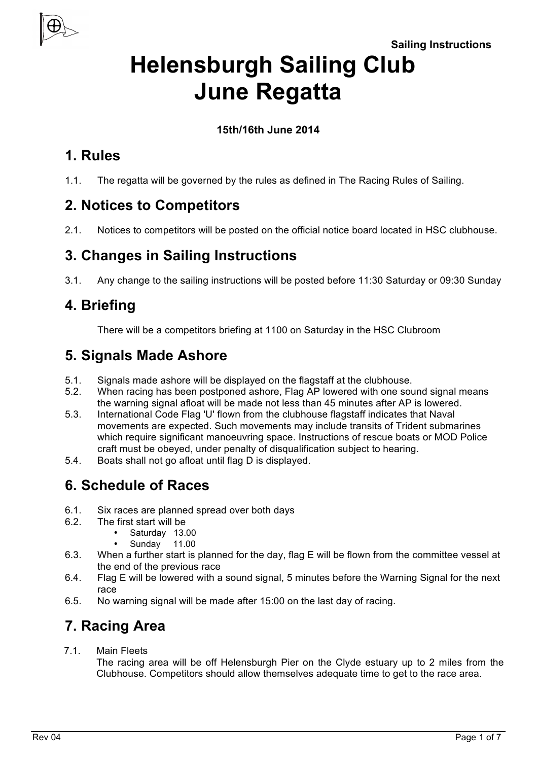**Sailing Instructions**



# **Helensburgh Sailing Club June Regatta**

#### **15th/16th June 2014**

#### **1. Rules**

1.1. The regatta will be governed by the rules as defined in The Racing Rules of Sailing.

# **2. Notices to Competitors**

2.1. Notices to competitors will be posted on the official notice board located in HSC clubhouse.

# **3. Changes in Sailing Instructions**

3.1. Any change to the sailing instructions will be posted before 11:30 Saturday or 09:30 Sunday

### **4. Briefing**

There will be a competitors briefing at 1100 on Saturday in the HSC Clubroom

# **5. Signals Made Ashore**

- 5.1. Signals made ashore will be displayed on the flagstaff at the clubhouse.
- 5.2. When racing has been postponed ashore, Flag AP lowered with one sound signal means the warning signal afloat will be made not less than 45 minutes after AP is lowered.
- 5.3. International Code Flag 'U' flown from the clubhouse flagstaff indicates that Naval movements are expected. Such movements may include transits of Trident submarines which require significant manoeuvring space. Instructions of rescue boats or MOD Police craft must be obeyed, under penalty of disqualification subject to hearing.
- 5.4. Boats shall not go afloat until flag D is displayed.

# **6. Schedule of Races**

- 6.1. Six races are planned spread over both days
- 6.2. The first start will be
	- Saturday 13.00
	- Sunday 11.00
- 6.3. When a further start is planned for the day, flag E will be flown from the committee vessel at the end of the previous race
- 6.4. Flag E will be lowered with a sound signal, 5 minutes before the Warning Signal for the next race
- 6.5. No warning signal will be made after 15:00 on the last day of racing.

# **7. Racing Area**

7.1. Main Fleets

The racing area will be off Helensburgh Pier on the Clyde estuary up to 2 miles from the Clubhouse. Competitors should allow themselves adequate time to get to the race area.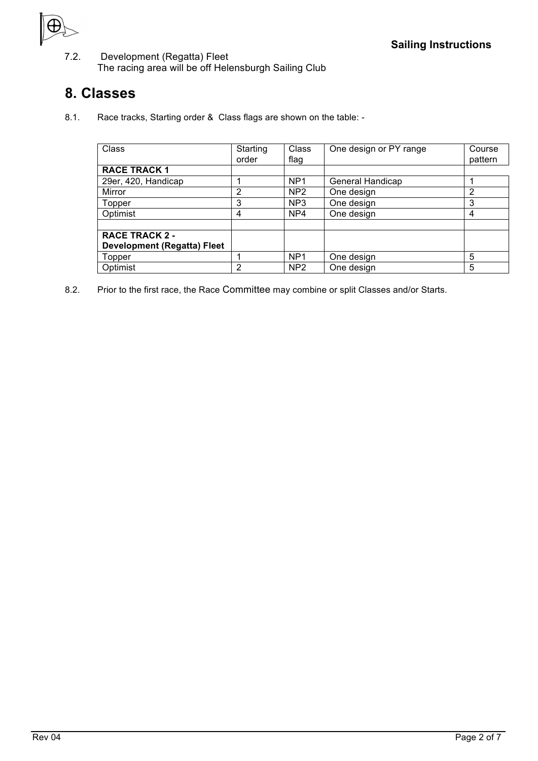

7.2. Development (Regatta) Fleet The racing area will be off Helensburgh Sailing Club

#### **8. Classes**

8.1. Race tracks, Starting order & Class flags are shown on the table: -

| Class                              | Starting<br>order | Class<br>flag   | One design or PY range | Course<br>pattern |
|------------------------------------|-------------------|-----------------|------------------------|-------------------|
| <b>RACE TRACK 1</b>                |                   |                 |                        |                   |
| 29er, 420, Handicap                |                   | NP <sub>1</sub> | General Handicap       |                   |
| Mirror                             | 2                 | NP <sub>2</sub> | One design             | 2                 |
| Topper                             | 3                 | NP <sub>3</sub> | One design             | 3                 |
| Optimist                           | 4                 | NP4             | One design             | 4                 |
|                                    |                   |                 |                        |                   |
| <b>RACE TRACK 2 -</b>              |                   |                 |                        |                   |
| <b>Development (Regatta) Fleet</b> |                   |                 |                        |                   |
| Topper                             |                   | NP <sub>1</sub> | One design             | 5                 |
| Optimist                           | 2                 | NP <sub>2</sub> | One design             | 5                 |

8.2. Prior to the first race, the Race Committee may combine or split Classes and/or Starts.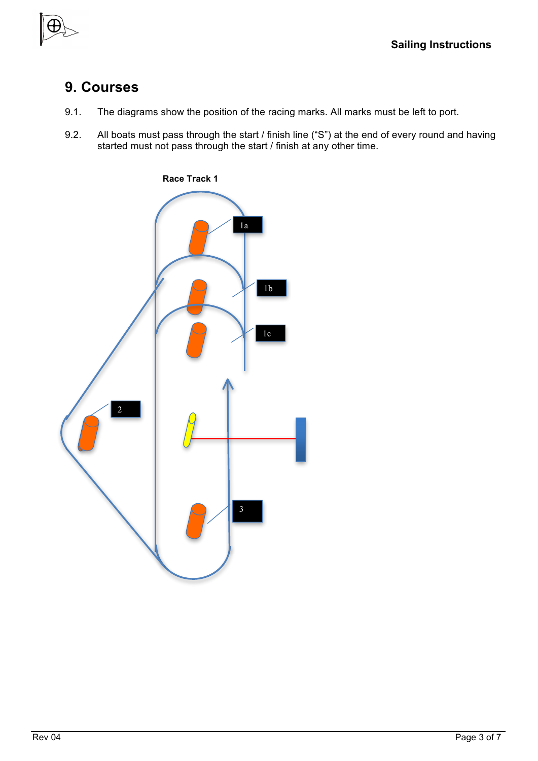#### **9. Courses**

- 9.1. The diagrams show the position of the racing marks. All marks must be left to port.
- 9.2. All boats must pass through the start / finish line ("S") at the end of every round and having started must not pass through the start / finish at any other time.

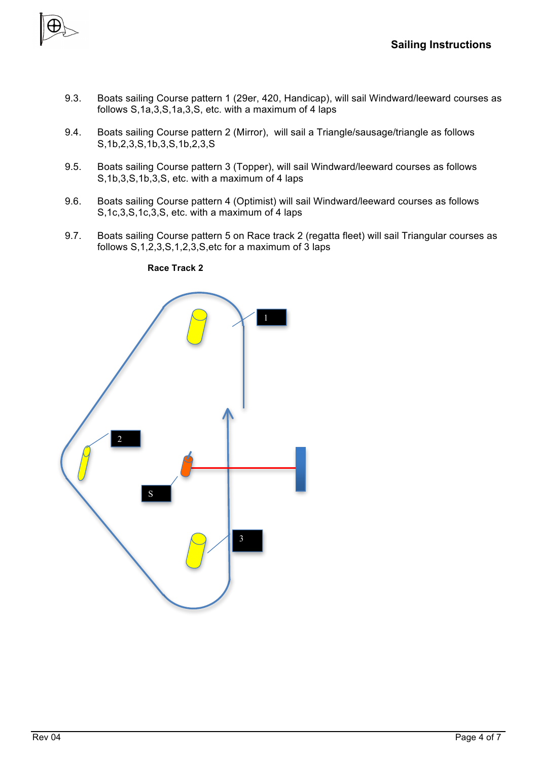

- 9.3. Boats sailing Course pattern 1 (29er, 420, Handicap), will sail Windward/leeward courses as follows S,1a,3,S,1a,3,S, etc. with a maximum of 4 laps
- 9.4. Boats sailing Course pattern 2 (Mirror), will sail a Triangle/sausage/triangle as follows S,1b,2,3,S,1b,3,S,1b,2,3,S
- 9.5. Boats sailing Course pattern 3 (Topper), will sail Windward/leeward courses as follows S,1b,3,S,1b,3,S, etc. with a maximum of 4 laps
- 9.6. Boats sailing Course pattern 4 (Optimist) will sail Windward/leeward courses as follows S,1c,3,S,1c,3,S, etc. with a maximum of 4 laps
- 9.7. Boats sailing Course pattern 5 on Race track 2 (regatta fleet) will sail Triangular courses as follows S,1,2,3,S,1,2,3,S,etc for a maximum of 3 laps



 **Race Track 2**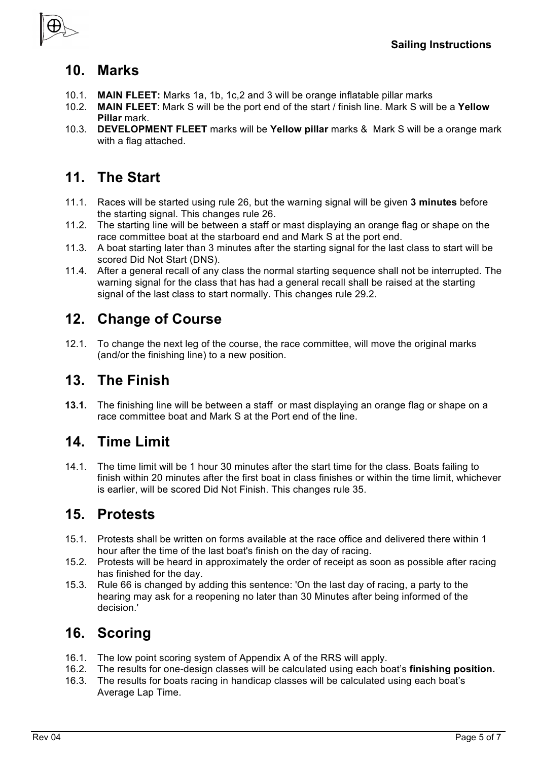

#### **10. Marks**

- 10.1. **MAIN FLEET:** Marks 1a, 1b, 1c,2 and 3 will be orange inflatable pillar marks
- 10.2. **MAIN FLEET**: Mark S will be the port end of the start / finish line. Mark S will be a **Yellow Pillar** mark.
- 10.3. **DEVELOPMENT FLEET** marks will be **Yellow pillar** marks & Mark S will be a orange mark with a flag attached.

### **11. The Start**

- 11.1. Races will be started using rule 26, but the warning signal will be given **3 minutes** before the starting signal. This changes rule 26.
- 11.2. The starting line will be between a staff or mast displaying an orange flag or shape on the race committee boat at the starboard end and Mark S at the port end.
- 11.3. A boat starting later than 3 minutes after the starting signal for the last class to start will be scored Did Not Start (DNS).
- 11.4. After a general recall of any class the normal starting sequence shall not be interrupted. The warning signal for the class that has had a general recall shall be raised at the starting signal of the last class to start normally. This changes rule 29.2.

### **12. Change of Course**

12.1. To change the next leg of the course, the race committee, will move the original marks (and/or the finishing line) to a new position.

#### **13. The Finish**

**13.1.** The finishing line will be between a staff or mast displaying an orange flag or shape on a race committee boat and Mark S at the Port end of the line.

#### **14. Time Limit**

14.1. The time limit will be 1 hour 30 minutes after the start time for the class. Boats failing to finish within 20 minutes after the first boat in class finishes or within the time limit, whichever is earlier, will be scored Did Not Finish. This changes rule 35.

#### **15. Protests**

- 15.1. Protests shall be written on forms available at the race office and delivered there within 1 hour after the time of the last boat's finish on the day of racing.
- 15.2. Protests will be heard in approximately the order of receipt as soon as possible after racing has finished for the day.
- 15.3. Rule 66 is changed by adding this sentence: 'On the last day of racing, a party to the hearing may ask for a reopening no later than 30 Minutes after being informed of the decision.'

# **16. Scoring**

- 16.1. The low point scoring system of Appendix A of the RRS will apply.
- 16.2. The results for one-design classes will be calculated using each boat's **finishing position.**
- 16.3. The results for boats racing in handicap classes will be calculated using each boat's Average Lap Time.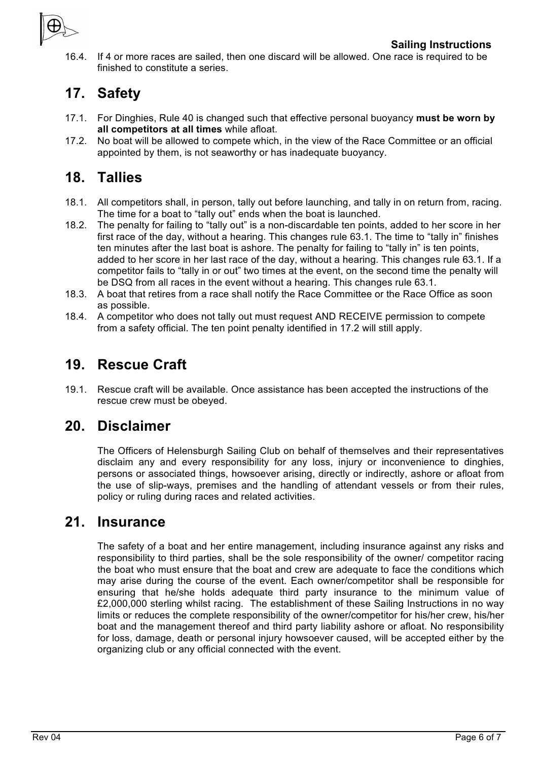

16.4. If 4 or more races are sailed, then one discard will be allowed. One race is required to be finished to constitute a series.

### **17. Safety**

- 17.1. For Dinghies, Rule 40 is changed such that effective personal buoyancy **must be worn by all competitors at all times** while afloat.
- 17.2. No boat will be allowed to compete which, in the view of the Race Committee or an official appointed by them, is not seaworthy or has inadequate buoyancy.

#### **18. Tallies**

- 18.1. All competitors shall, in person, tally out before launching, and tally in on return from, racing. The time for a boat to "tally out" ends when the boat is launched.
- 18.2. The penalty for failing to "tally out" is a non-discardable ten points, added to her score in her first race of the day, without a hearing. This changes rule 63.1. The time to "tally in" finishes ten minutes after the last boat is ashore. The penalty for failing to "tally in" is ten points, added to her score in her last race of the day, without a hearing. This changes rule 63.1. If a competitor fails to "tally in or out" two times at the event, on the second time the penalty will be DSQ from all races in the event without a hearing. This changes rule 63.1.
- 18.3. A boat that retires from a race shall notify the Race Committee or the Race Office as soon as possible.
- 18.4. A competitor who does not tally out must request AND RECEIVE permission to compete from a safety official. The ten point penalty identified in 17.2 will still apply.

#### **19. Rescue Craft**

19.1. Rescue craft will be available. Once assistance has been accepted the instructions of the rescue crew must be obeyed.

#### **20. Disclaimer**

The Officers of Helensburgh Sailing Club on behalf of themselves and their representatives disclaim any and every responsibility for any loss, injury or inconvenience to dinghies, persons or associated things, howsoever arising, directly or indirectly, ashore or afloat from the use of slip-ways, premises and the handling of attendant vessels or from their rules, policy or ruling during races and related activities.

#### **21. Insurance**

The safety of a boat and her entire management, including insurance against any risks and responsibility to third parties, shall be the sole responsibility of the owner/ competitor racing the boat who must ensure that the boat and crew are adequate to face the conditions which may arise during the course of the event. Each owner/competitor shall be responsible for ensuring that he/she holds adequate third party insurance to the minimum value of £2,000,000 sterling whilst racing. The establishment of these Sailing Instructions in no way limits or reduces the complete responsibility of the owner/competitor for his/her crew, his/her boat and the management thereof and third party liability ashore or afloat. No responsibility for loss, damage, death or personal injury howsoever caused, will be accepted either by the organizing club or any official connected with the event.